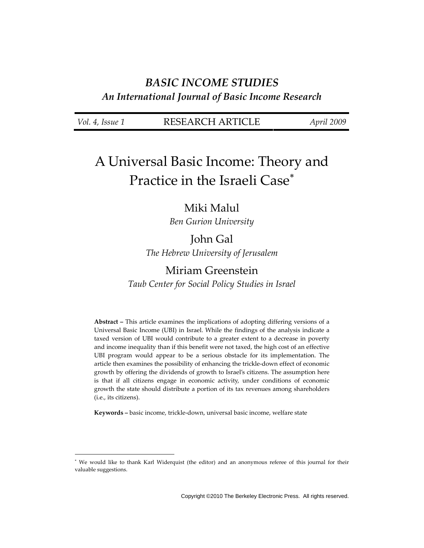# BASIC INCOME STUDIES An International Journal of Basic Income Research

# A Universal Basic Income: Theory and Practice in the Israeli Case<sup>\*</sup>

# Miki Malul

Ben Gurion University

John Gal The Hebrew University of Jerusalem

# Miriam Greenstein

Taub Center for Social Policy Studies in Israel

Abstract – This article examines the implications of adopting differing versions of a Universal Basic Income (UBI) in Israel. While the findings of the analysis indicate a taxed version of UBI would contribute to a greater extent to a decrease in poverty and income inequality than if this benefit were not taxed, the high cost of an effective UBI program would appear to be a serious obstacle for its implementation. The article then examines the possibility of enhancing the trickle-down effect of economic growth by offering the dividends of growth to Israel's citizens. The assumption here is that if all citizens engage in economic activity, under conditions of economic growth the state should distribute a portion of its tax revenues among shareholders (i.e., its citizens).

Keywords – basic income, trickle-down, universal basic income, welfare state

l.

<sup>∗</sup> We would like to thank Karl Widerquist (the editor) and an anonymous referee of this journal for their valuable suggestions.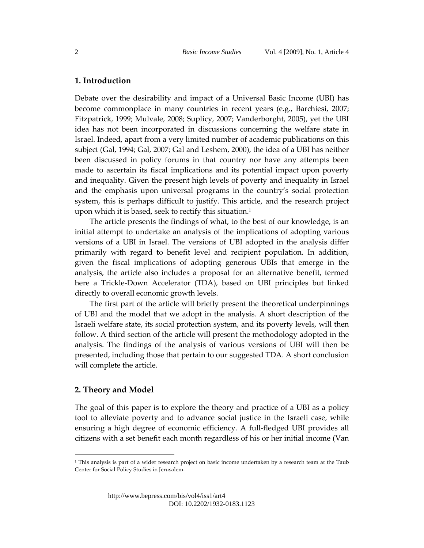# 1. Introduction

Debate over the desirability and impact of a Universal Basic Income (UBI) has become commonplace in many countries in recent years (e.g., Barchiesi, 2007; Fitzpatrick, 1999; Mulvale, 2008; Suplicy, 2007; Vanderborght, 2005), yet the UBI idea has not been incorporated in discussions concerning the welfare state in Israel. Indeed, apart from a very limited number of academic publications on this subject (Gal, 1994; Gal, 2007; Gal and Leshem, 2000), the idea of a UBI has neither been discussed in policy forums in that country nor have any attempts been made to ascertain its fiscal implications and its potential impact upon poverty and inequality. Given the present high levels of poverty and inequality in Israel and the emphasis upon universal programs in the country's social protection system, this is perhaps difficult to justify. This article, and the research project upon which it is based, seek to rectify this situation.<sup>1</sup>

The article presents the findings of what, to the best of our knowledge, is an initial attempt to undertake an analysis of the implications of adopting various versions of a UBI in Israel. The versions of UBI adopted in the analysis differ primarily with regard to benefit level and recipient population. In addition, given the fiscal implications of adopting generous UBIs that emerge in the analysis, the article also includes a proposal for an alternative benefit, termed here a Trickle-Down Accelerator (TDA), based on UBI principles but linked directly to overall economic growth levels.

The first part of the article will briefly present the theoretical underpinnings of UBI and the model that we adopt in the analysis. A short description of the Israeli welfare state, its social protection system, and its poverty levels, will then follow. A third section of the article will present the methodology adopted in the analysis. The findings of the analysis of various versions of UBI will then be presented, including those that pertain to our suggested TDA. A short conclusion will complete the article.

# 2. Theory and Model

 $\overline{a}$ 

The goal of this paper is to explore the theory and practice of a UBI as a policy tool to alleviate poverty and to advance social justice in the Israeli case, while ensuring a high degree of economic efficiency. A full-fledged UBI provides all citizens with a set benefit each month regardless of his or her initial income (Van

<sup>1</sup> This analysis is part of a wider research project on basic income undertaken by a research team at the Taub Center for Social Policy Studies in Jerusalem.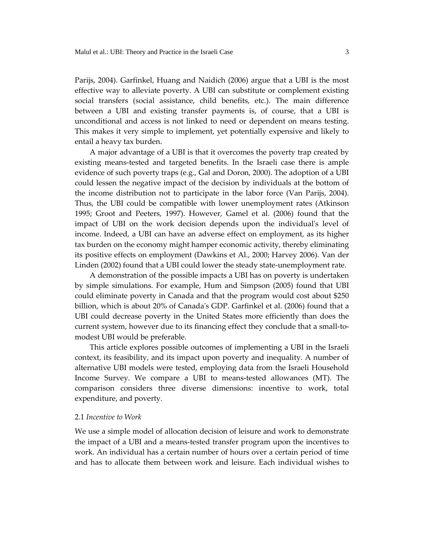Parijs, 2004). Garfinkel, Huang and Naidich (2006) argue that a UBI is the most effective way to alleviate poverty. A UBI can substitute or complement existing social transfers (social assistance, child benefits, etc.). The main difference between a UBI and existing transfer payments is, of course, that a UBI is unconditional and access is not linked to need or dependent on means testing. This makes it very simple to implement, yet potentially expensive and likely to entail a heavy tax burden.

A major advantage of a UBI is that it overcomes the poverty trap created by existing means-tested and targeted benefits. In the Israeli case there is ample evidence of such poverty traps (e.g., Gal and Doron, 2000). The adoption of a UBI could lessen the negative impact of the decision by individuals at the bottom of the income distribution not to participate in the labor force (Van Parijs, 2004). Thus, the UBI could be compatible with lower unemployment rates (Atkinson 1995; Groot and Peeters, 1997). However, Gamel et al. (2006) found that the impact of UBI on the work decision depends upon the individual's level of income. Indeed, a UBI can have an adverse effect on employment, as its higher tax burden on the economy might hamper economic activity, thereby eliminating its positive effects on employment (Dawkins et Al., 2000; Harvey 2006). Van der Linden (2002) found that a UBI could lower the steady state-unemployment rate.

A demonstration of the possible impacts a UBI has on poverty is undertaken by simple simulations. For example, Hum and Simpson (2005) found that UBI could eliminate poverty in Canada and that the program would cost about \$250 billion, which is about 20% of Canada's GDP. Garfinkel et al. (2006) found that a UBI could decrease poverty in the United States more efficiently than does the current system, however due to its financing effect they conclude that a small-tomodest UBI would be preferable.

This article explores possible outcomes of implementing a UBI in the Israeli context, its feasibility, and its impact upon poverty and inequality. A number of alternative UBI models were tested, employing data from the Israeli Household Income Survey. We compare a UBI to means-tested allowances (MT). The comparison considers three diverse dimensions: incentive to work, total expenditure, and poverty.

#### 2.1 Incentive to Work

We use a simple model of allocation decision of leisure and work to demonstrate the impact of a UBI and a means-tested transfer program upon the incentives to work. An individual has a certain number of hours over a certain period of time and has to allocate them between work and leisure. Each individual wishes to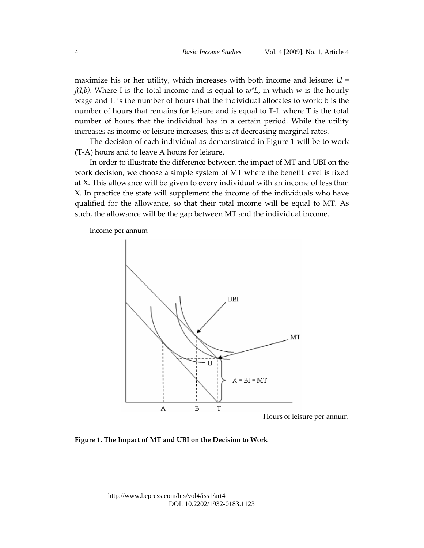maximize his or her utility, which increases with both income and leisure:  $U =$  $f(I,b)$ . Where I is the total income and is equal to  $w^*L$ , in which w is the hourly wage and L is the number of hours that the individual allocates to work; b is the number of hours that remains for leisure and is equal to T-L where T is the total number of hours that the individual has in a certain period. While the utility increases as income or leisure increases, this is at decreasing marginal rates.

The decision of each individual as demonstrated in Figure 1 will be to work (T-A) hours and to leave A hours for leisure.

In order to illustrate the difference between the impact of MT and UBI on the work decision, we choose a simple system of MT where the benefit level is fixed at X. This allowance will be given to every individual with an income of less than X. In practice the state will supplement the income of the individuals who have qualified for the allowance, so that their total income will be equal to MT. As such, the allowance will be the gap between MT and the individual income.



Figure 1. The Impact of MT and UBI on the Decision to Work

http://www.bepress.com/bis/vol4/iss1/art4 DOI: 10.2202/1932-0183.1123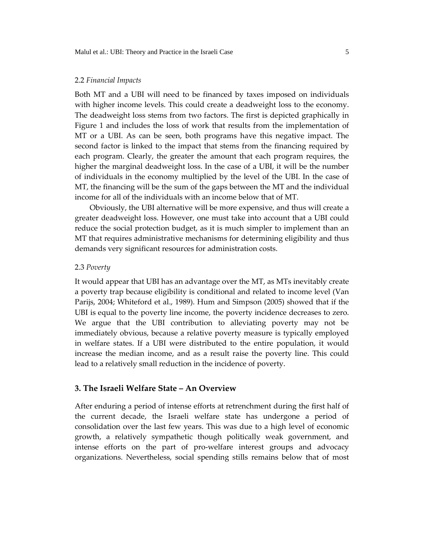#### 2.2 Financial Impacts

Both MT and a UBI will need to be financed by taxes imposed on individuals with higher income levels. This could create a deadweight loss to the economy. The deadweight loss stems from two factors. The first is depicted graphically in Figure 1 and includes the loss of work that results from the implementation of MT or a UBI. As can be seen, both programs have this negative impact. The second factor is linked to the impact that stems from the financing required by each program. Clearly, the greater the amount that each program requires, the higher the marginal deadweight loss. In the case of a UBI, it will be the number of individuals in the economy multiplied by the level of the UBI. In the case of MT, the financing will be the sum of the gaps between the MT and the individual income for all of the individuals with an income below that of MT.

Obviously, the UBI alternative will be more expensive, and thus will create a greater deadweight loss. However, one must take into account that a UBI could reduce the social protection budget, as it is much simpler to implement than an MT that requires administrative mechanisms for determining eligibility and thus demands very significant resources for administration costs.

### 2.3 Poverty

It would appear that UBI has an advantage over the MT, as MTs inevitably create a poverty trap because eligibility is conditional and related to income level (Van Parijs, 2004; Whiteford et al., 1989). Hum and Simpson (2005) showed that if the UBI is equal to the poverty line income, the poverty incidence decreases to zero. We argue that the UBI contribution to alleviating poverty may not be immediately obvious, because a relative poverty measure is typically employed in welfare states. If a UBI were distributed to the entire population, it would increase the median income, and as a result raise the poverty line. This could lead to a relatively small reduction in the incidence of poverty.

# 3. The Israeli Welfare State – An Overview

After enduring a period of intense efforts at retrenchment during the first half of the current decade, the Israeli welfare state has undergone a period of consolidation over the last few years. This was due to a high level of economic growth, a relatively sympathetic though politically weak government, and intense efforts on the part of pro-welfare interest groups and advocacy organizations. Nevertheless, social spending stills remains below that of most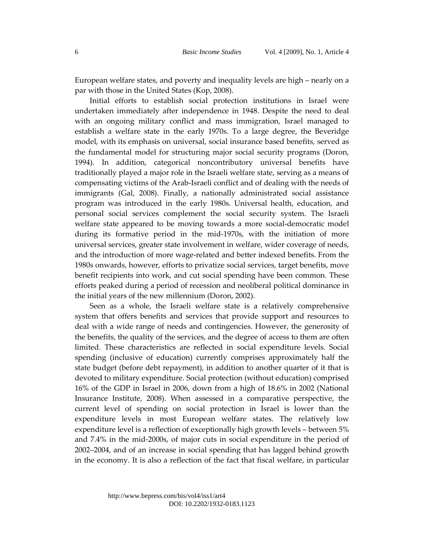European welfare states, and poverty and inequality levels are high – nearly on a par with those in the United States (Kop, 2008).

Initial efforts to establish social protection institutions in Israel were undertaken immediately after independence in 1948. Despite the need to deal with an ongoing military conflict and mass immigration, Israel managed to establish a welfare state in the early 1970s. To a large degree, the Beveridge model, with its emphasis on universal, social insurance based benefits, served as the fundamental model for structuring major social security programs (Doron, 1994). In addition, categorical noncontributory universal benefits have traditionally played a major role in the Israeli welfare state, serving as a means of compensating victims of the Arab-Israeli conflict and of dealing with the needs of immigrants (Gal, 2008). Finally, a nationally administrated social assistance program was introduced in the early 1980s. Universal health, education, and personal social services complement the social security system. The Israeli welfare state appeared to be moving towards a more social-democratic model during its formative period in the mid-1970s, with the initiation of more universal services, greater state involvement in welfare, wider coverage of needs, and the introduction of more wage-related and better indexed benefits. From the 1980s onwards, however, efforts to privatize social services, target benefits, move benefit recipients into work, and cut social spending have been common. These efforts peaked during a period of recession and neoliberal political dominance in the initial years of the new millennium (Doron, 2002).

Seen as a whole, the Israeli welfare state is a relatively comprehensive system that offers benefits and services that provide support and resources to deal with a wide range of needs and contingencies. However, the generosity of the benefits, the quality of the services, and the degree of access to them are often limited. These characteristics are reflected in social expenditure levels. Social spending (inclusive of education) currently comprises approximately half the state budget (before debt repayment), in addition to another quarter of it that is devoted to military expenditure. Social protection (without education) comprised 16% of the GDP in Israel in 2006, down from a high of 18.6% in 2002 (National Insurance Institute, 2008). When assessed in a comparative perspective, the current level of spending on social protection in Israel is lower than the expenditure levels in most European welfare states. The relatively low expenditure level is a reflection of exceptionally high growth levels – between 5% and 7.4% in the mid-2000s, of major cuts in social expenditure in the period of 2002–2004, and of an increase in social spending that has lagged behind growth in the economy. It is also a reflection of the fact that fiscal welfare, in particular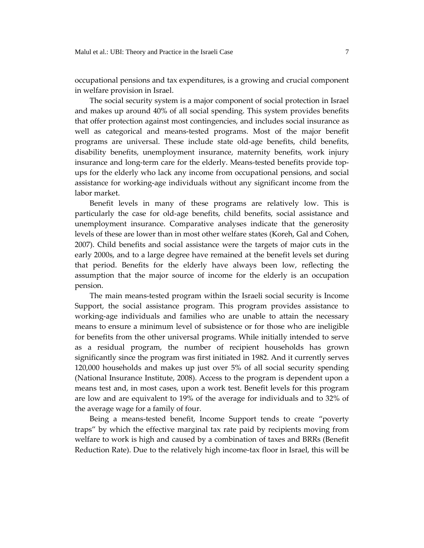occupational pensions and tax expenditures, is a growing and crucial component in welfare provision in Israel.

The social security system is a major component of social protection in Israel and makes up around 40% of all social spending. This system provides benefits that offer protection against most contingencies, and includes social insurance as well as categorical and means-tested programs. Most of the major benefit programs are universal. These include state old-age benefits, child benefits, disability benefits, unemployment insurance, maternity benefits, work injury insurance and long-term care for the elderly. Means-tested benefits provide topups for the elderly who lack any income from occupational pensions, and social assistance for working-age individuals without any significant income from the labor market.

Benefit levels in many of these programs are relatively low. This is particularly the case for old-age benefits, child benefits, social assistance and unemployment insurance. Comparative analyses indicate that the generosity levels of these are lower than in most other welfare states (Koreh, Gal and Cohen, 2007). Child benefits and social assistance were the targets of major cuts in the early 2000s, and to a large degree have remained at the benefit levels set during that period. Benefits for the elderly have always been low, reflecting the assumption that the major source of income for the elderly is an occupation pension.

The main means-tested program within the Israeli social security is Income Support, the social assistance program. This program provides assistance to working-age individuals and families who are unable to attain the necessary means to ensure a minimum level of subsistence or for those who are ineligible for benefits from the other universal programs. While initially intended to serve as a residual program, the number of recipient households has grown significantly since the program was first initiated in 1982. And it currently serves 120,000 households and makes up just over 5% of all social security spending (National Insurance Institute, 2008). Access to the program is dependent upon a means test and, in most cases, upon a work test. Benefit levels for this program are low and are equivalent to 19% of the average for individuals and to 32% of the average wage for a family of four.

Being a means-tested benefit, Income Support tends to create "poverty traps" by which the effective marginal tax rate paid by recipients moving from welfare to work is high and caused by a combination of taxes and BRRs (Benefit Reduction Rate). Due to the relatively high income-tax floor in Israel, this will be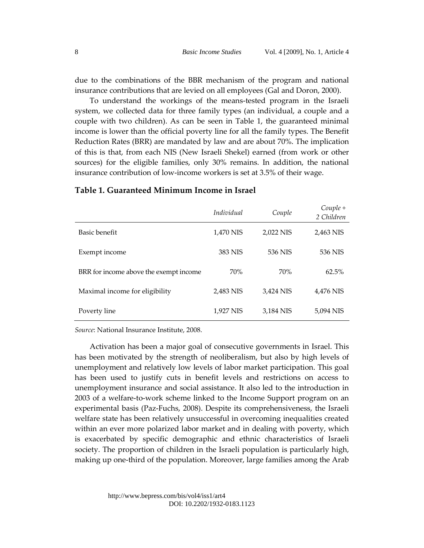due to the combinations of the BBR mechanism of the program and national insurance contributions that are levied on all employees (Gal and Doron, 2000).

To understand the workings of the means-tested program in the Israeli system, we collected data for three family types (an individual, a couple and a couple with two children). As can be seen in Table 1, the guaranteed minimal income is lower than the official poverty line for all the family types. The Benefit Reduction Rates (BRR) are mandated by law and are about 70%. The implication of this is that, from each NIS (New Israeli Shekel) earned (from work or other sources) for the eligible families, only 30% remains. In addition, the national insurance contribution of low-income workers is set at 3.5% of their wage.

# Table 1. Guaranteed Minimum Income in Israel

|                                        | Individual | Couple    | $Couple +$<br>2 Children |
|----------------------------------------|------------|-----------|--------------------------|
| <b>Basic benefit</b>                   | 1,470 NIS  | 2,022 NIS | 2,463 NIS                |
| Exempt income                          | 383 NIS    | 536 NIS   | 536 NIS                  |
| BRR for income above the exempt income | 70%        | 70%       | 62.5%                    |
| Maximal income for eligibility         | 2,483 NIS  | 3,424 NIS | 4,476 NIS                |
| Poverty line                           | 1,927 NIS  | 3,184 NIS | 5,094 NIS                |

Source: National Insurance Institute, 2008.

Activation has been a major goal of consecutive governments in Israel. This has been motivated by the strength of neoliberalism, but also by high levels of unemployment and relatively low levels of labor market participation. This goal has been used to justify cuts in benefit levels and restrictions on access to unemployment insurance and social assistance. It also led to the introduction in 2003 of a welfare-to-work scheme linked to the Income Support program on an experimental basis (Paz-Fuchs, 2008). Despite its comprehensiveness, the Israeli welfare state has been relatively unsuccessful in overcoming inequalities created within an ever more polarized labor market and in dealing with poverty, which is exacerbated by specific demographic and ethnic characteristics of Israeli society. The proportion of children in the Israeli population is particularly high, making up one-third of the population. Moreover, large families among the Arab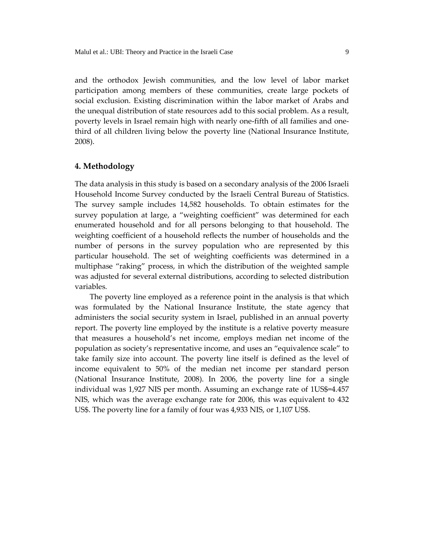and the orthodox Jewish communities, and the low level of labor market participation among members of these communities, create large pockets of social exclusion. Existing discrimination within the labor market of Arabs and the unequal distribution of state resources add to this social problem. As a result, poverty levels in Israel remain high with nearly one-fifth of all families and onethird of all children living below the poverty line (National Insurance Institute, 2008).

### 4. Methodology

The data analysis in this study is based on a secondary analysis of the 2006 Israeli Household Income Survey conducted by the Israeli Central Bureau of Statistics. The survey sample includes 14,582 households. To obtain estimates for the survey population at large, a "weighting coefficient" was determined for each enumerated household and for all persons belonging to that household. The weighting coefficient of a household reflects the number of households and the number of persons in the survey population who are represented by this particular household. The set of weighting coefficients was determined in a multiphase "raking" process, in which the distribution of the weighted sample was adjusted for several external distributions, according to selected distribution variables.

The poverty line employed as a reference point in the analysis is that which was formulated by the National Insurance Institute, the state agency that administers the social security system in Israel, published in an annual poverty report. The poverty line employed by the institute is a relative poverty measure that measures a household's net income, employs median net income of the population as society's representative income, and uses an "equivalence scale" to take family size into account. The poverty line itself is defined as the level of income equivalent to 50% of the median net income per standard person (National Insurance Institute, 2008). In 2006, the poverty line for a single individual was 1,927 NIS per month. Assuming an exchange rate of 1US\$=4.457 NIS, which was the average exchange rate for 2006, this was equivalent to 432 US\$. The poverty line for a family of four was 4,933 NIS, or 1,107 US\$.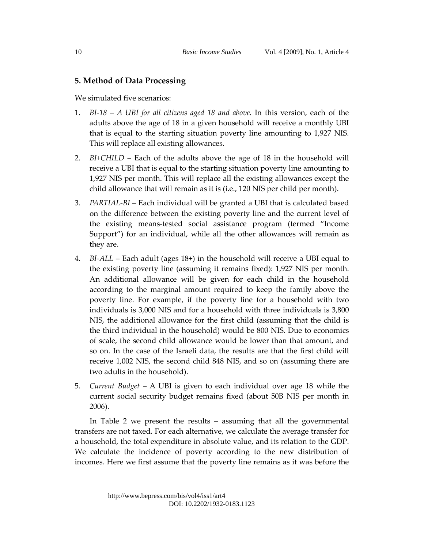### 5. Method of Data Processing

We simulated five scenarios:

- 1. BI-18 A UBI for all citizens aged 18 and above. In this version, each of the adults above the age of 18 in a given household will receive a monthly UBI that is equal to the starting situation poverty line amounting to 1,927 NIS. This will replace all existing allowances.
- 2. BI+CHILD Each of the adults above the age of 18 in the household will receive a UBI that is equal to the starting situation poverty line amounting to 1,927 NIS per month. This will replace all the existing allowances except the child allowance that will remain as it is (i.e., 120 NIS per child per month).
- 3. PARTIAL-BI Each individual will be granted a UBI that is calculated based on the difference between the existing poverty line and the current level of the existing means-tested social assistance program (termed "Income Support") for an individual, while all the other allowances will remain as they are.
- 4. BI-ALL Each adult (ages 18+) in the household will receive a UBI equal to the existing poverty line (assuming it remains fixed): 1,927 NIS per month. An additional allowance will be given for each child in the household according to the marginal amount required to keep the family above the poverty line. For example, if the poverty line for a household with two individuals is 3,000 NIS and for a household with three individuals is 3,800 NIS, the additional allowance for the first child (assuming that the child is the third individual in the household) would be 800 NIS. Due to economics of scale, the second child allowance would be lower than that amount, and so on. In the case of the Israeli data, the results are that the first child will receive 1,002 NIS, the second child 848 NIS, and so on (assuming there are two adults in the household).
- 5. Current Budget  $-$  A UBI is given to each individual over age 18 while the current social security budget remains fixed (about 50B NIS per month in 2006).

In Table 2 we present the results – assuming that all the governmental transfers are not taxed. For each alternative, we calculate the average transfer for a household, the total expenditure in absolute value, and its relation to the GDP. We calculate the incidence of poverty according to the new distribution of incomes. Here we first assume that the poverty line remains as it was before the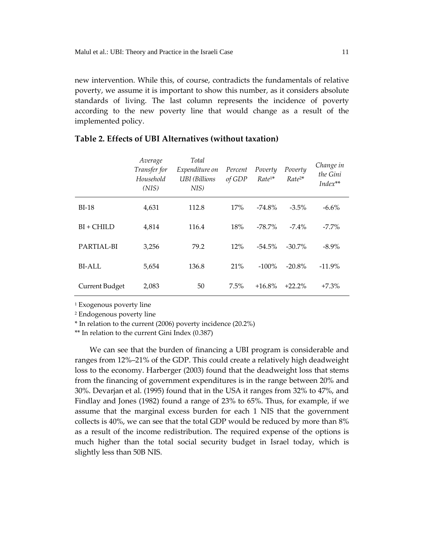new intervention. While this, of course, contradicts the fundamentals of relative poverty, we assume it is important to show this number, as it considers absolute standards of living. The last column represents the incidence of poverty according to the new poverty line that would change as a result of the implemented policy.

|                | Average<br>Transfer for<br>Household<br>(NIS) | Total<br>Expenditure on<br><b>UBI</b> (Billions<br>NIS) | Percent<br>of GDP | Poverty<br>$Rate1*$ | Poverty<br>$Rate2*$ | Change in<br>the Gini<br>Index** |
|----------------|-----------------------------------------------|---------------------------------------------------------|-------------------|---------------------|---------------------|----------------------------------|
| $BI-18$        | 4,631                                         | 112.8                                                   | 17%               | $-74.8\%$           | $-3.5\%$            | $-6.6\%$                         |
| BI + CHILD     | 4,814                                         | 116.4                                                   | 18%               | $-78.7\%$           | $-7.4\%$            | $-7.7\%$                         |
| PARTIAL-BI     | 3,256                                         | 79.2                                                    | 12%               | $-54.5\%$           | $-30.7\%$           | $-8.9\%$                         |
| <b>BI-ALL</b>  | 5,654                                         | 136.8                                                   | 21%               | $-100\%$            | $-20.8%$            | $-11.9\%$                        |
| Current Budget | 2,083                                         | 50                                                      | 7.5%              | $+16.8\%$           | $+22.2%$            | $+7.3%$                          |

## Table 2. Effects of UBI Alternatives (without taxation)

1 Exogenous poverty line

2 Endogenous poverty line

\* In relation to the current (2006) poverty incidence (20.2%)

\*\* In relation to the current Gini Index (0.387)

We can see that the burden of financing a UBI program is considerable and ranges from 12%–21% of the GDP. This could create a relatively high deadweight loss to the economy. Harberger (2003) found that the deadweight loss that stems from the financing of government expenditures is in the range between 20% and 30%. Devarjan et al. (1995) found that in the USA it ranges from 32% to 47%, and Findlay and Jones (1982) found a range of 23% to 65%. Thus, for example, if we assume that the marginal excess burden for each 1 NIS that the government collects is 40%, we can see that the total GDP would be reduced by more than 8% as a result of the income redistribution. The required expense of the options is much higher than the total social security budget in Israel today, which is slightly less than 50B NIS.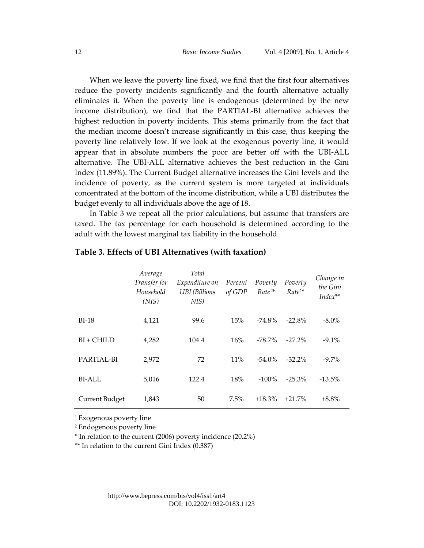When we leave the poverty line fixed, we find that the first four alternatives reduce the poverty incidents significantly and the fourth alternative actually eliminates it. When the poverty line is endogenous (determined by the new income distribution), we find that the PARTIAL-BI alternative achieves the highest reduction in poverty incidents. This stems primarily from the fact that the median income doesn't increase significantly in this case, thus keeping the poverty line relatively low. If we look at the exogenous poverty line, it would appear that in absolute numbers the poor are better off with the UBI-ALL alternative. The UBI-ALL alternative achieves the best reduction in the Gini Index (11.89%). The Current Budget alternative increases the Gini levels and the incidence of poverty, as the current system is more targeted at individuals concentrated at the bottom of the income distribution, while a UBI distributes the budget evenly to all individuals above the age of 18.

In Table 3 we repeat all the prior calculations, but assume that transfers are taxed. The tax percentage for each household is determined according to the adult with the lowest marginal tax liability in the household.

|                       | Average<br>Transfer for<br>Household<br>(NIS) | Total<br>Expenditure on<br><b>UBI</b> (Billions<br>NIS) | Percent<br>of GDP | Poverty<br>Rate <sup>1</sup> | Poverty<br>Rate <sup>2*</sup> | Change in<br>the Gini<br>Index** |
|-----------------------|-----------------------------------------------|---------------------------------------------------------|-------------------|------------------------------|-------------------------------|----------------------------------|
| <b>BI-18</b>          | 4,121                                         | 99.6                                                    | 15%               | $-74.8\%$                    | $-22.8%$                      | $-8.0\%$                         |
| BI + CHILD            | 4,282                                         | 104.4                                                   | 16%               | $-78.7\%$                    | $-27.2\%$                     | $-9.1\%$                         |
| PARTIAL-BI            | 2,972                                         | 72                                                      | 11%               | $-54.0\%$                    | $-32.2\%$                     | $-9.7\%$                         |
| <b>BI-ALL</b>         | 5,016                                         | 122.4                                                   | 18%               | $-100\%$                     | $-25.3\%$                     | $-13.5\%$                        |
| <b>Current Budget</b> | 1,843                                         | 50                                                      | 7.5%              | $+18.3\%$                    | $+21.7%$                      | $+8.8\%$                         |

# Table 3. Effects of UBI Alternatives (with taxation)

1 Exogenous poverty line

2 Endogenous poverty line

\* In relation to the current (2006) poverty incidence (20.2%)

\*\* In relation to the current Gini Index (0.387)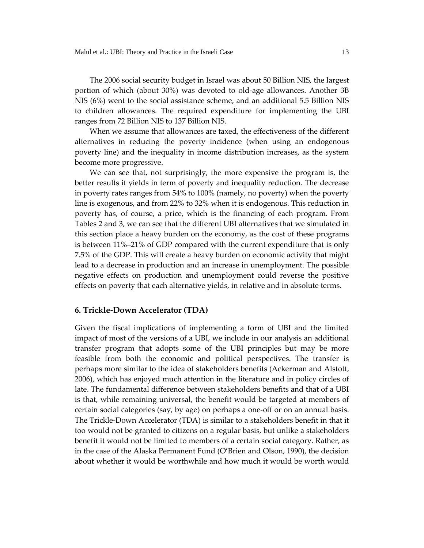The 2006 social security budget in Israel was about 50 Billion NIS, the largest portion of which (about 30%) was devoted to old-age allowances. Another 3B NIS (6%) went to the social assistance scheme, and an additional 5.5 Billion NIS to children allowances. The required expenditure for implementing the UBI ranges from 72 Billion NIS to 137 Billion NIS.

When we assume that allowances are taxed, the effectiveness of the different alternatives in reducing the poverty incidence (when using an endogenous poverty line) and the inequality in income distribution increases, as the system become more progressive.

We can see that, not surprisingly, the more expensive the program is, the better results it yields in term of poverty and inequality reduction. The decrease in poverty rates ranges from 54% to 100% (namely, no poverty) when the poverty line is exogenous, and from 22% to 32% when it is endogenous. This reduction in poverty has, of course, a price, which is the financing of each program. From Tables 2 and 3, we can see that the different UBI alternatives that we simulated in this section place a heavy burden on the economy, as the cost of these programs is between 11%–21% of GDP compared with the current expenditure that is only 7.5% of the GDP. This will create a heavy burden on economic activity that might lead to a decrease in production and an increase in unemployment. The possible negative effects on production and unemployment could reverse the positive effects on poverty that each alternative yields, in relative and in absolute terms.

### 6. Trickle-Down Accelerator (TDA)

Given the fiscal implications of implementing a form of UBI and the limited impact of most of the versions of a UBI, we include in our analysis an additional transfer program that adopts some of the UBI principles but may be more feasible from both the economic and political perspectives. The transfer is perhaps more similar to the idea of stakeholders benefits (Ackerman and Alstott, 2006), which has enjoyed much attention in the literature and in policy circles of late. The fundamental difference between stakeholders benefits and that of a UBI is that, while remaining universal, the benefit would be targeted at members of certain social categories (say, by age) on perhaps a one-off or on an annual basis. The Trickle-Down Accelerator (TDA) is similar to a stakeholders benefit in that it too would not be granted to citizens on a regular basis, but unlike a stakeholders benefit it would not be limited to members of a certain social category. Rather, as in the case of the Alaska Permanent Fund (O'Brien and Olson, 1990), the decision about whether it would be worthwhile and how much it would be worth would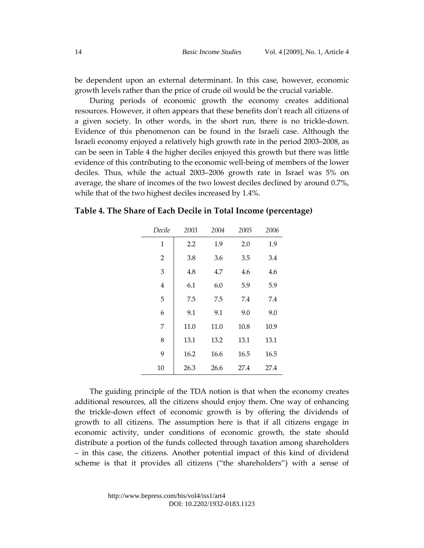be dependent upon an external determinant. In this case, however, economic growth levels rather than the price of crude oil would be the crucial variable.

During periods of economic growth the economy creates additional resources. However, it often appears that these benefits don't reach all citizens of a given society. In other words, in the short run, there is no trickle-down. Evidence of this phenomenon can be found in the Israeli case. Although the Israeli economy enjoyed a relatively high growth rate in the period 2003–2008, as can be seen in Table 4 the higher deciles enjoyed this growth but there was little evidence of this contributing to the economic well-being of members of the lower deciles. Thus, while the actual 2003–2006 growth rate in Israel was 5% on average, the share of incomes of the two lowest deciles declined by around 0.7%, while that of the two highest deciles increased by 1.4%.

|  |  |  |  |  |  |  |  |  | Table 4. The Share of Each Decile in Total Income (percentage) |
|--|--|--|--|--|--|--|--|--|----------------------------------------------------------------|
|--|--|--|--|--|--|--|--|--|----------------------------------------------------------------|

| Decile         | 2003 | 2004 | 2005 | 2006 |
|----------------|------|------|------|------|
| $\mathbf{1}$   | 2.2  | 1.9  | 2.0  | 1.9  |
| $\overline{2}$ | 3.8  | 3.6  | 3.5  | 3.4  |
| 3              | 4.8  | 4.7  | 4.6  | 4.6  |
| $\overline{4}$ | 6.1  | 6.0  | 5.9  | 5.9  |
| 5              | 7.5  | 7.5  | 7.4  | 7.4  |
| 6              | 9.1  | 9.1  | 9.0  | 9.0  |
| 7              | 11.0 | 11.0 | 10.8 | 10.9 |
| 8              | 13.1 | 13.2 | 13.1 | 13.1 |
| 9              | 16.2 | 16.6 | 16.5 | 16.5 |
| 10             | 26.3 | 26.6 | 27.4 | 27.4 |

The guiding principle of the TDA notion is that when the economy creates additional resources, all the citizens should enjoy them. One way of enhancing the trickle-down effect of economic growth is by offering the dividends of growth to all citizens. The assumption here is that if all citizens engage in economic activity, under conditions of economic growth, the state should distribute a portion of the funds collected through taxation among shareholders – in this case, the citizens. Another potential impact of this kind of dividend scheme is that it provides all citizens ("the shareholders") with a sense of

> http://www.bepress.com/bis/vol4/iss1/art4 DOI: 10.2202/1932-0183.1123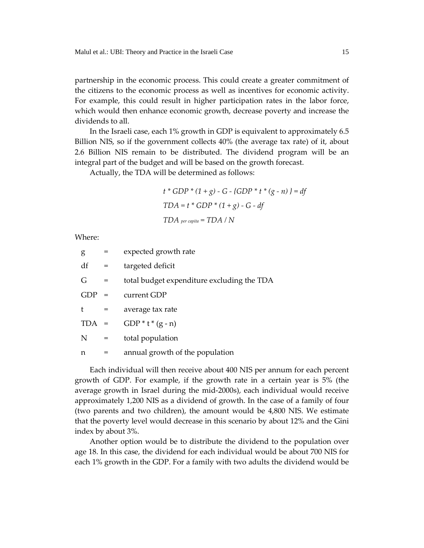partnership in the economic process. This could create a greater commitment of the citizens to the economic process as well as incentives for economic activity. For example, this could result in higher participation rates in the labor force, which would then enhance economic growth, decrease poverty and increase the dividends to all.

In the Israeli case, each 1% growth in GDP is equivalent to approximately 6.5 Billion NIS, so if the government collects 40% (the average tax rate) of it, about 2.6 Billion NIS remain to be distributed. The dividend program will be an integral part of the budget and will be based on the growth forecast.

Actually, the TDA will be determined as follows:

$$
t * GDP * (1 + g) - G - {GDP * t * (g - n)} = df
$$
  
TDA = t \* GDP \* (1 + g) - G - df  
TDA per capita = TDA / N

Where:

| g           |     | expected growth rate                                      |
|-------------|-----|-----------------------------------------------------------|
| df          | $=$ | targeted deficit                                          |
| G           | $=$ | total budget expenditure excluding the TDA                |
| GDP         |     | current GDP                                               |
| t           | $=$ | average tax rate                                          |
| $TDA =$     |     | $GDP * t * (g - n)$                                       |
| $\mathbf N$ | $=$ | total population                                          |
| n           | $=$ | annual growth of the population                           |
|             |     | Each individual will then receive about 400 NIS per annum |

h for each percent growth of GDP. For example, if the growth rate in a certain year is 5% (the average growth in Israel during the mid-2000s), each individual would receive approximately 1,200 NIS as a dividend of growth. In the case of a family of four (two parents and two children), the amount would be 4,800 NIS. We estimate that the poverty level would decrease in this scenario by about 12% and the Gini index by about 3%.

Another option would be to distribute the dividend to the population over age 18. In this case, the dividend for each individual would be about 700 NIS for each 1% growth in the GDP. For a family with two adults the dividend would be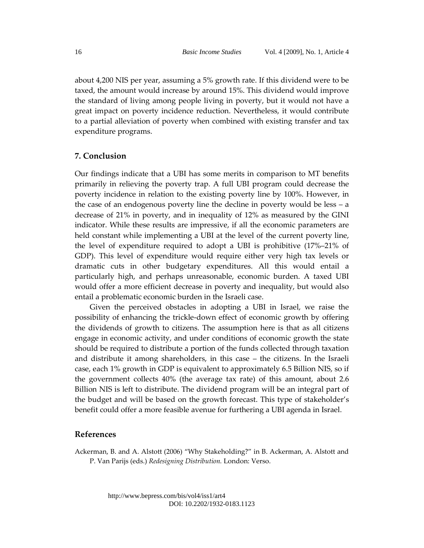about 4,200 NIS per year, assuming a 5% growth rate. If this dividend were to be taxed, the amount would increase by around 15%. This dividend would improve the standard of living among people living in poverty, but it would not have a great impact on poverty incidence reduction. Nevertheless, it would contribute to a partial alleviation of poverty when combined with existing transfer and tax expenditure programs.

## 7. Conclusion

Our findings indicate that a UBI has some merits in comparison to MT benefits primarily in relieving the poverty trap. A full UBI program could decrease the poverty incidence in relation to the existing poverty line by 100%. However, in the case of an endogenous poverty line the decline in poverty would be less – a decrease of 21% in poverty, and in inequality of 12% as measured by the GINI indicator. While these results are impressive, if all the economic parameters are held constant while implementing a UBI at the level of the current poverty line, the level of expenditure required to adopt a UBI is prohibitive (17%–21% of GDP). This level of expenditure would require either very high tax levels or dramatic cuts in other budgetary expenditures. All this would entail a particularly high, and perhaps unreasonable, economic burden. A taxed UBI would offer a more efficient decrease in poverty and inequality, but would also entail a problematic economic burden in the Israeli case.

Given the perceived obstacles in adopting a UBI in Israel, we raise the possibility of enhancing the trickle-down effect of economic growth by offering the dividends of growth to citizens. The assumption here is that as all citizens engage in economic activity, and under conditions of economic growth the state should be required to distribute a portion of the funds collected through taxation and distribute it among shareholders, in this case – the citizens. In the Israeli case, each 1% growth in GDP is equivalent to approximately 6.5 Billion NIS, so if the government collects 40% (the average tax rate) of this amount, about 2.6 Billion NIS is left to distribute. The dividend program will be an integral part of the budget and will be based on the growth forecast. This type of stakeholder's benefit could offer a more feasible avenue for furthering a UBI agenda in Israel.

#### References

Ackerman, B. and A. Alstott (2006) "Why Stakeholding?" in B. Ackerman, A. Alstott and P. Van Parijs (eds.) Redesigning Distribution. London: Verso.

> http://www.bepress.com/bis/vol4/iss1/art4 DOI: 10.2202/1932-0183.1123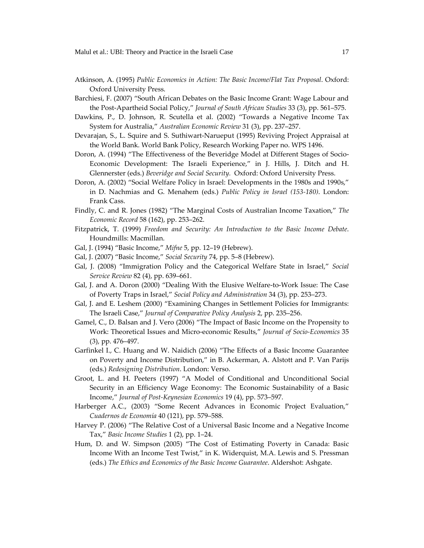- Atkinson, A. (1995) Public Economics in Action: The Basic Income/Flat Tax Proposal. Oxford: Oxford University Press.
- Barchiesi, F. (2007) "South African Debates on the Basic Income Grant: Wage Labour and the Post-Apartheid Social Policy," Journal of South African Studies 33 (3), pp. 561–575.
- Dawkins, P., D. Johnson, R. Scutella et al. (2002) "Towards a Negative Income Tax System for Australia," Australian Economic Review 31 (3), pp. 237–257.
- Devarajan, S., L. Squire and S. Suthiwart-Narueput (1995) Reviving Project Appraisal at the World Bank. World Bank Policy, Research Working Paper no. WPS 1496.
- Doron, A. (1994) "The Effectiveness of the Beveridge Model at Different Stages of Socio-Economic Development: The Israeli Experience," in J. Hills, J. Ditch and H. Glennerster (eds.) Beveridge and Social Security. Oxford: Oxford University Press.
- Doron, A. (2002) "Social Welfare Policy in Israel: Developments in the 1980s and 1990s," in D. Nachmias and G. Menahem (eds.) Public Policy in Israel (153-180). London: Frank Cass.
- Findly, C. and R. Jones (1982) "The Marginal Costs of Australian Income Taxation," The Economic Record 58 (162), pp. 253–262.
- Fitzpatrick, T. (1999) Freedom and Security: An Introduction to the Basic Income Debate. Houndmills: Macmillan.
- Gal, J. (1994) "Basic Income," Mifne 5, pp. 12–19 (Hebrew).
- Gal, J. (2007) "Basic Income," Social Security 74, pp. 5–8 (Hebrew).
- Gal, J. (2008) "Immigration Policy and the Categorical Welfare State in Israel," Social Service Review 82 (4), pp. 639–661.
- Gal, J. and A. Doron (2000) "Dealing With the Elusive Welfare-to-Work Issue: The Case of Poverty Traps in Israel," Social Policy and Administration 34 (3), pp. 253–273.
- Gal, J. and E. Leshem (2000) "Examining Changes in Settlement Policies for Immigrants: The Israeli Case," Journal of Comparative Policy Analysis 2, pp. 235–256.
- Gamel, C., D. Balsan and J. Vero (2006) "The Impact of Basic Income on the Propensity to Work: Theoretical Issues and Micro-economic Results," Journal of Socio-Economics 35 (3), pp. 476–497.
- Garfinkel I., C. Huang and W. Naidich (2006) "The Effects of a Basic Income Guarantee on Poverty and Income Distribution," in B. Ackerman, A. Alstott and P. Van Parijs (eds.) Redesigning Distribution. London: Verso.
- Groot, L. and H. Peeters (1997) "A Model of Conditional and Unconditional Social Security in an Efficiency Wage Economy: The Economic Sustainability of a Basic Income," Journal of Post-Keynesian Economics 19 (4), pp. 573–597.
- Harberger A.C., (2003) "Some Recent Advances in Economic Project Evaluation," Cuadernos de Economía 40 (121), pp. 579–588.
- Harvey P. (2006) "The Relative Cost of a Universal Basic Income and a Negative Income Tax," Basic Income Studies 1 (2), pp. 1–24.
- Hum, D. and W. Simpson (2005) "The Cost of Estimating Poverty in Canada: Basic Income With an Income Test Twist," in K. Widerquist, M.A. Lewis and S. Pressman (eds.) The Ethics and Economics of the Basic Income Guarantee. Aldershot: Ashgate.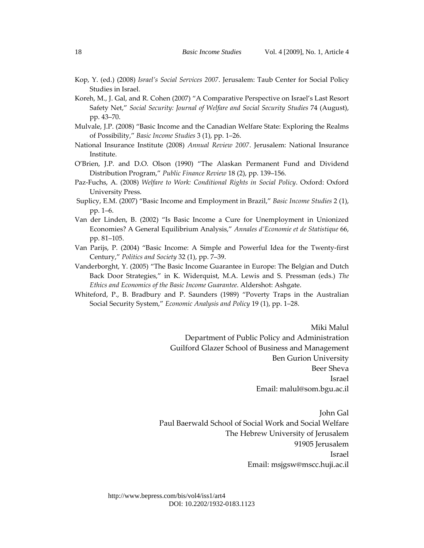- Kop, Y. (ed.) (2008) Israel's Social Services 2007. Jerusalem: Taub Center for Social Policy Studies in Israel.
- Koreh, M., J. Gal, and R. Cohen (2007) "A Comparative Perspective on Israel's Last Resort Safety Net," Social Security: Journal of Welfare and Social Security Studies 74 (August), pp. 43–70.
- Mulvale, J.P. (2008) "Basic Income and the Canadian Welfare State: Exploring the Realms of Possibility," Basic Income Studies 3 (1), pp. 1–26.
- National Insurance Institute (2008) Annual Review 2007. Jerusalem: National Insurance Institute.
- O'Brien, J.P. and D.O. Olson (1990) "The Alaskan Permanent Fund and Dividend Distribution Program," Public Finance Review 18 (2), pp. 139–156.
- Paz-Fuchs, A. (2008) Welfare to Work: Conditional Rights in Social Policy. Oxford: Oxford University Press.
- Suplicy, E.M. (2007) "Basic Income and Employment in Brazil," Basic Income Studies 2 (1), pp. 1–6.
- Van der Linden, B. (2002) "Is Basic Income a Cure for Unemployment in Unionized Economies? A General Equilibrium Analysis," Annales d'Economie et de Statistique 66, pp. 81–105.
- Van Parijs, P. (2004) "Basic Income: A Simple and Powerful Idea for the Twenty-first Century," Politics and Society 32 (1), pp. 7–39.
- Vanderborght, Y. (2005) "The Basic Income Guarantee in Europe: The Belgian and Dutch Back Door Strategies," in K. Widerquist, M.A. Lewis and S. Pressman (eds.) The Ethics and Economics of the Basic Income Guarantee. Aldershot: Ashgate.
- Whiteford, P., B. Bradbury and P. Saunders (1989) "Poverty Traps in the Australian Social Security System," Economic Analysis and Policy 19 (1), pp. 1–28.

Miki Malul Department of Public Policy and Administration Guilford Glazer School of Business and Management Ben Gurion University Beer Sheva Israel Email: malul@som.bgu.ac.il

John Gal Paul Baerwald School of Social Work and Social Welfare The Hebrew University of Jerusalem 91905 Jerusalem Israel Email: msjgsw@mscc.huji.ac.il